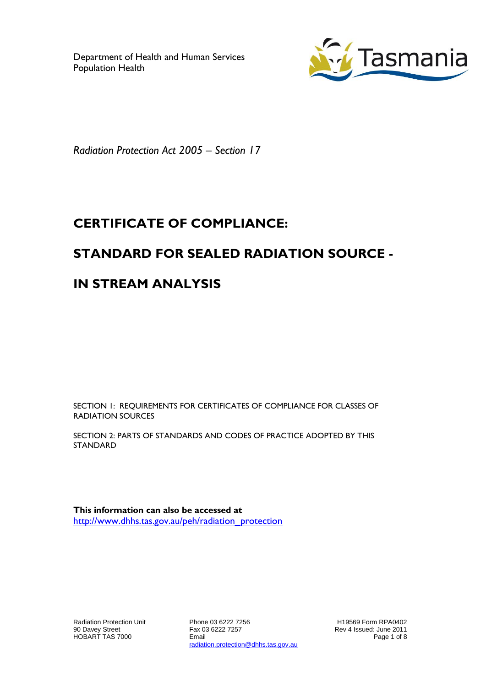Department of Health and Human Services Population Health



*Radiation Protection Act 2005 – Section 17*

# **CERTIFICATE OF COMPLIANCE:**

## **STANDARD FOR SEALED RADIATION SOURCE -**

## **IN STREAM ANALYSIS**

SECTION 1: REQUIREMENTS FOR CERTIFICATES OF COMPLIANCE FOR CLASSES OF RADIATION SOURCES

SECTION 2: PARTS OF STANDARDS AND CODES OF PRACTICE ADOPTED BY THIS STANDARD

**This information can also be accessed at** [http://www.dhhs.tas.gov.au/peh/radiation\\_protection](http://www.dhhs.tas.gov.au/peh/radiation_protection)

Phone 03 6222 7256 Fax 03 6222 7257 Email radiation.protection@dhhs.tas.gov.au

H19569 Form RPA0402 Rev 4 Issued: June 2011 Page 1 of 8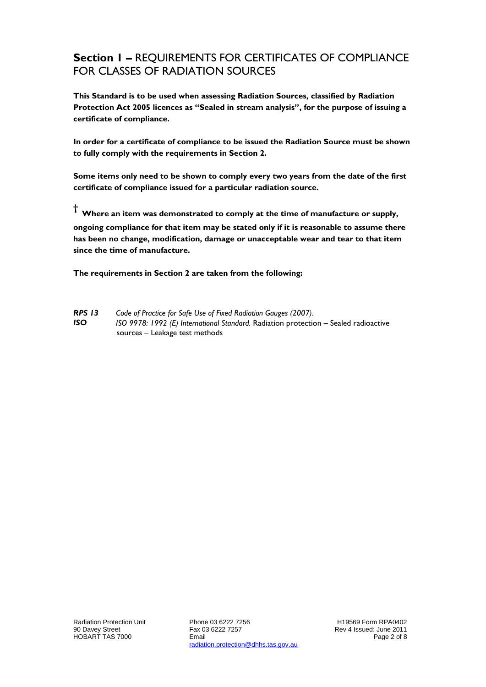#### **Section 1 –** REQUIREMENTS FOR CERTIFICATES OF COMPLIANCE FOR CLASSES OF RADIATION SOURCES

**This Standard is to be used when assessing Radiation Sources, classified by Radiation Protection Act 2005 licences as "Sealed in stream analysis", for the purpose of issuing a certificate of compliance.**

**In order for a certificate of compliance to be issued the Radiation Source must be shown to fully comply with the requirements in Section 2.**

**Some items only need to be shown to comply every two years from the date of the first certificate of compliance issued for a particular radiation source.**

**† Where an item was demonstrated to comply at the time of manufacture or supply, ongoing compliance for that item may be stated only if it is reasonable to assume there has been no change, modification, damage or unacceptable wear and tear to that item since the time of manufacture.** 

**The requirements in Section 2 are taken from the following:**

*RPS 13 Code of Practice for Safe Use of Fixed Radiation Gauges (2007)*. *ISO ISO 9978: 1992 (E) International Standard.* Radiation protection – Sealed radioactive sources – Leakage test methods

Phone 03 6222 7256 Fax 03 6222 7257 Email radiation.protection@dhhs.tas.gov.au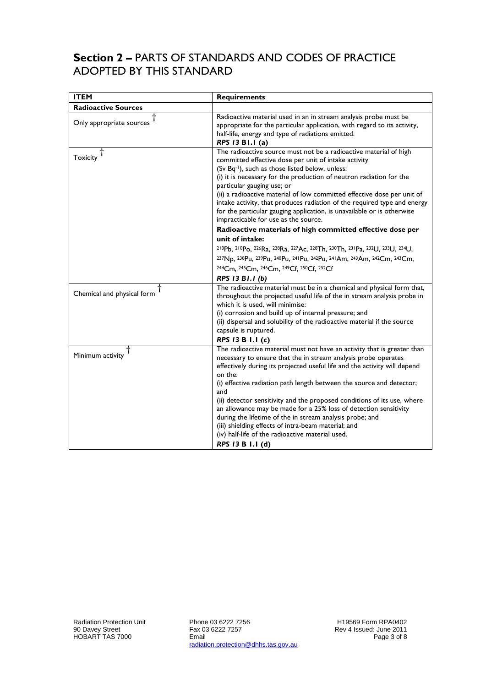#### **Section 2 –** PARTS OF STANDARDS AND CODES OF PRACTICE ADOPTED BY THIS STANDARD

| <b>ITEM</b>                | <b>Requirements</b>                                                                                                                                                                                                                                                                                                                                                                                                                                                                                                                                                             |
|----------------------------|---------------------------------------------------------------------------------------------------------------------------------------------------------------------------------------------------------------------------------------------------------------------------------------------------------------------------------------------------------------------------------------------------------------------------------------------------------------------------------------------------------------------------------------------------------------------------------|
| <b>Radioactive Sources</b> |                                                                                                                                                                                                                                                                                                                                                                                                                                                                                                                                                                                 |
| Only appropriate sources   | Radioactive material used in an in stream analysis probe must be<br>appropriate for the particular application, with regard to its activity,<br>half-life, energy and type of radiations emitted.<br>RPS 13 B1.1 (a)                                                                                                                                                                                                                                                                                                                                                            |
| <b>Toxicity</b>            | The radioactive source must not be a radioactive material of high<br>committed effective dose per unit of intake activity<br>(Sv Bq-1), such as those listed below, unless:<br>(i) it is necessary for the production of neutron radiation for the<br>particular gauging use; or<br>(ii) a radioactive material of low committed effective dose per unit of<br>intake activity, that produces radiation of the required type and energy<br>for the particular gauging application, is unavailable or is otherwise<br>impracticable for use as the source.                       |
|                            | Radioactive materials of high committed effective dose per                                                                                                                                                                                                                                                                                                                                                                                                                                                                                                                      |
|                            | unit of intake:                                                                                                                                                                                                                                                                                                                                                                                                                                                                                                                                                                 |
|                            | 210Pb, 210Po, 226Ra, 228Ra, 227Ac, 228Th, 230Th, 231Pa, 232U, 233U, 234U,                                                                                                                                                                                                                                                                                                                                                                                                                                                                                                       |
|                            | 237Np, 238Pu, 239Pu, 240Pu, 241Pu, 242Pu, 241Am, 243Am, 242Cm, 243Cm,                                                                                                                                                                                                                                                                                                                                                                                                                                                                                                           |
|                            | 244Cm, 245Cm, 246Cm, 249Cf, 250Cf, 252Cf<br>RPS 13 B1.1 (b)                                                                                                                                                                                                                                                                                                                                                                                                                                                                                                                     |
| Chemical and physical form | The radioactive material must be in a chemical and physical form that,<br>throughout the projected useful life of the in stream analysis probe in<br>which it is used, will minimise:<br>(i) corrosion and build up of internal pressure; and<br>(ii) dispersal and solubility of the radioactive material if the source<br>capsule is ruptured.                                                                                                                                                                                                                                |
|                            | RPS 13 B 1.1 (c)<br>The radioactive material must not have an activity that is greater than                                                                                                                                                                                                                                                                                                                                                                                                                                                                                     |
| Minimum activity           | necessary to ensure that the in stream analysis probe operates<br>effectively during its projected useful life and the activity will depend<br>on the:<br>(i) effective radiation path length between the source and detector;<br>and<br>(ii) detector sensitivity and the proposed conditions of its use, where<br>an allowance may be made for a 25% loss of detection sensitivity<br>during the lifetime of the in stream analysis probe; and<br>(iii) shielding effects of intra-beam material; and<br>(iv) half-life of the radioactive material used.<br>RPS 13 B 1.1 (d) |

Phone 03 6222 7256 Fax 03 6222 7257 Email radiation.protection@dhhs.tas.gov.au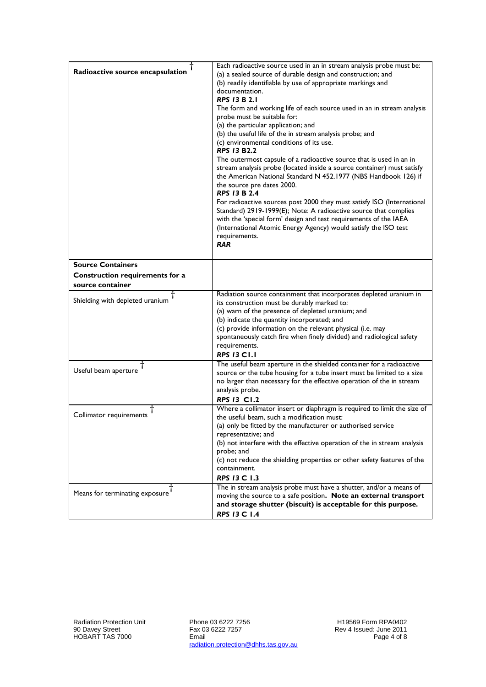| Radioactive source encapsulation | Each radioactive source used in an in stream analysis probe must be:<br>(a) a sealed source of durable design and construction; and<br>(b) readily identifiable by use of appropriate markings and<br>documentation.<br><b>RPS 13 B 2.1</b><br>The form and working life of each source used in an in stream analysis<br>probe must be suitable for:<br>(a) the particular application; and<br>(b) the useful life of the in stream analysis probe; and<br>(c) environmental conditions of its use.<br><b>RPS 13 B2.2</b><br>The outermost capsule of a radioactive source that is used in an in<br>stream analysis probe (located inside a source container) must satisfy<br>the American National Standard N 452.1977 (NBS Handbook 126) if<br>the source pre dates 2000.<br><b>RPS 13 B 2.4</b><br>For radioactive sources post 2000 they must satisfy ISO (International<br>Standard) 2919-1999(E); Note: A radioactive source that complies<br>with the 'special form' design and test requirements of the IAEA<br>(International Atomic Energy Agency) would satisfy the ISO test<br>requirements.<br><b>RAR</b> |
|----------------------------------|------------------------------------------------------------------------------------------------------------------------------------------------------------------------------------------------------------------------------------------------------------------------------------------------------------------------------------------------------------------------------------------------------------------------------------------------------------------------------------------------------------------------------------------------------------------------------------------------------------------------------------------------------------------------------------------------------------------------------------------------------------------------------------------------------------------------------------------------------------------------------------------------------------------------------------------------------------------------------------------------------------------------------------------------------------------------------------------------------------------------|
| <b>Source Containers</b>         |                                                                                                                                                                                                                                                                                                                                                                                                                                                                                                                                                                                                                                                                                                                                                                                                                                                                                                                                                                                                                                                                                                                        |
| Construction requirements for a  |                                                                                                                                                                                                                                                                                                                                                                                                                                                                                                                                                                                                                                                                                                                                                                                                                                                                                                                                                                                                                                                                                                                        |
| source container                 |                                                                                                                                                                                                                                                                                                                                                                                                                                                                                                                                                                                                                                                                                                                                                                                                                                                                                                                                                                                                                                                                                                                        |
| Shielding with depleted uranium  | Radiation source containment that incorporates depleted uranium in<br>its construction must be durably marked to:<br>(a) warn of the presence of depleted uranium; and<br>(b) indicate the quantity incorporated; and<br>(c) provide information on the relevant physical (i.e. may<br>spontaneously catch fire when finely divided) and radiological safety<br>requirements.<br><b>RPS 13 C1.1</b>                                                                                                                                                                                                                                                                                                                                                                                                                                                                                                                                                                                                                                                                                                                    |
| Useful beam aperture             | The useful beam aperture in the shielded container for a radioactive<br>source or the tube housing for a tube insert must be limited to a size<br>no larger than necessary for the effective operation of the in stream<br>analysis probe.<br><b>RPS 13 C1.2</b>                                                                                                                                                                                                                                                                                                                                                                                                                                                                                                                                                                                                                                                                                                                                                                                                                                                       |
| Collimator requirements          | Where a collimator insert or diaphragm is required to limit the size of<br>the useful beam, such a modification must:<br>(a) only be fitted by the manufacturer or authorised service<br>representative; and<br>(b) not interfere with the effective operation of the in stream analysis<br>probe; and<br>(c) not reduce the shielding properties or other safety features of the<br>containment.<br><b>RPS 13 C 1.3</b>                                                                                                                                                                                                                                                                                                                                                                                                                                                                                                                                                                                                                                                                                               |
| Means for terminating exposure   | The in stream analysis probe must have a shutter, and/or a means of<br>moving the source to a safe position. Note an external transport<br>and storage shutter (biscuit) is acceptable for this purpose.<br>RPS 13 C 1.4                                                                                                                                                                                                                                                                                                                                                                                                                                                                                                                                                                                                                                                                                                                                                                                                                                                                                               |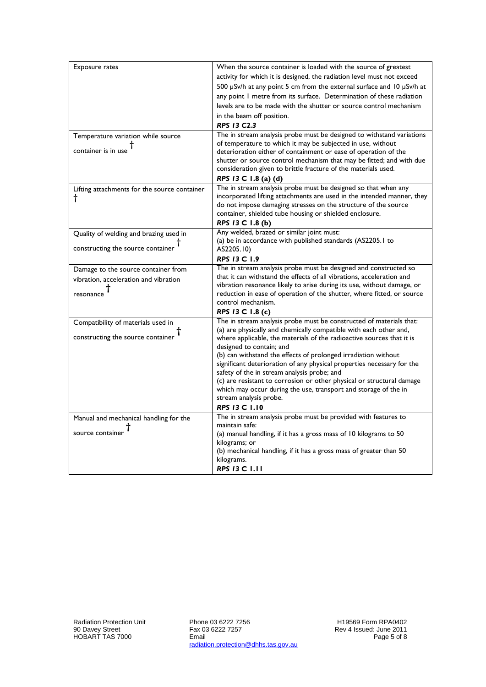| Exposure rates                               | When the source container is loaded with the source of greatest                                                                                 |
|----------------------------------------------|-------------------------------------------------------------------------------------------------------------------------------------------------|
|                                              | activity for which it is designed, the radiation level must not exceed                                                                          |
|                                              | 500 µSv/h at any point 5 cm from the external surface and 10 µSv/h at                                                                           |
|                                              | any point I metre from its surface. Determination of these radiation                                                                            |
|                                              | levels are to be made with the shutter or source control mechanism                                                                              |
|                                              | in the beam off position.                                                                                                                       |
|                                              | <b>RPS 13 C2.3</b>                                                                                                                              |
| Temperature variation while source           | The in stream analysis probe must be designed to withstand variations                                                                           |
| container is in use                          | of temperature to which it may be subjected in use, without                                                                                     |
|                                              | deterioration either of containment or ease of operation of the                                                                                 |
|                                              | shutter or source control mechanism that may be fitted; and with due                                                                            |
|                                              | consideration given to brittle fracture of the materials used.                                                                                  |
|                                              | RPS 13 C 1.8 (a) (d)<br>The in stream analysis probe must be designed so that when any                                                          |
| Lifting attachments for the source container | incorporated lifting attachments are used in the intended manner, they                                                                          |
| t                                            | do not impose damaging stresses on the structure of the source                                                                                  |
|                                              | container, shielded tube housing or shielded enclosure.                                                                                         |
|                                              | RPS 13 C 1.8 (b)                                                                                                                                |
| Quality of welding and brazing used in       | Any welded, brazed or similar joint must:                                                                                                       |
|                                              | (a) be in accordance with published standards (AS2205.1 to                                                                                      |
| constructing the source container            | AS2205.10)                                                                                                                                      |
|                                              | RPS 13 C 1.9                                                                                                                                    |
| Damage to the source container from          | The in stream analysis probe must be designed and constructed so                                                                                |
| vibration, acceleration and vibration        | that it can withstand the effects of all vibrations, acceleration and<br>vibration resonance likely to arise during its use, without damage, or |
| resonance                                    | reduction in ease of operation of the shutter, where fitted, or source                                                                          |
|                                              | control mechanism.                                                                                                                              |
|                                              | RPS 13 C 1.8 (c)                                                                                                                                |
| Compatibility of materials used in           | The in stream analysis probe must be constructed of materials that:                                                                             |
|                                              | (a) are physically and chemically compatible with each other and,                                                                               |
| constructing the source container            | where applicable, the materials of the radioactive sources that it is                                                                           |
|                                              | designed to contain; and                                                                                                                        |
|                                              | (b) can withstand the effects of prolonged irradiation without                                                                                  |
|                                              | significant deterioration of any physical properties necessary for the<br>safety of the in stream analysis probe; and                           |
|                                              | (c) are resistant to corrosion or other physical or structural damage                                                                           |
|                                              | which may occur during the use, transport and storage of the in                                                                                 |
|                                              | stream analysis probe.                                                                                                                          |
|                                              | <b>RPS 13 C 1.10</b>                                                                                                                            |
| Manual and mechanical handling for the       | The in stream analysis probe must be provided with features to                                                                                  |
|                                              | maintain safe:                                                                                                                                  |
| source container                             | (a) manual handling, if it has a gross mass of 10 kilograms to 50                                                                               |
|                                              | kilograms; or                                                                                                                                   |
|                                              | (b) mechanical handling, if it has a gross mass of greater than 50<br>kilograms.                                                                |
|                                              | <b>RPS 13 C 1.11</b>                                                                                                                            |
|                                              |                                                                                                                                                 |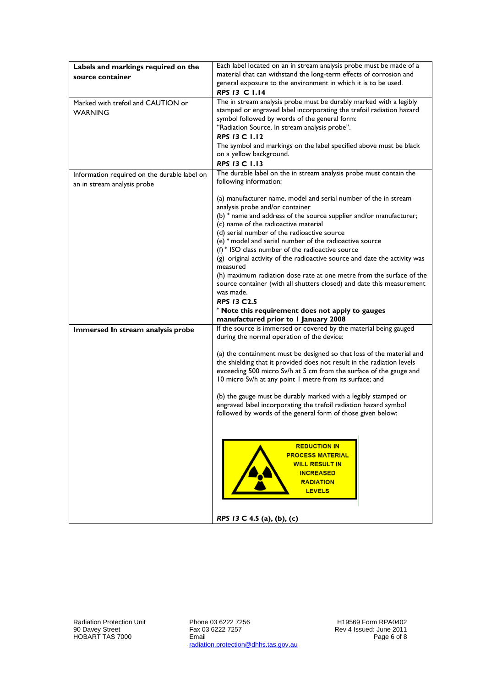| Labels and markings required on the          | Each label located on an in stream analysis probe must be made of a                 |
|----------------------------------------------|-------------------------------------------------------------------------------------|
| source container                             | material that can withstand the long-term effects of corrosion and                  |
|                                              | general exposure to the environment in which it is to be used.                      |
|                                              | RPS 13 C 1.14                                                                       |
| Marked with trefoil and CAUTION or           | The in stream analysis probe must be durably marked with a legibly                  |
| <b>WARNING</b>                               | stamped or engraved label incorporating the trefoil radiation hazard                |
|                                              | symbol followed by words of the general form:                                       |
|                                              | "Radiation Source, In stream analysis probe".                                       |
|                                              | <b>RPS 13 C 1.12</b>                                                                |
|                                              | The symbol and markings on the label specified above must be black                  |
|                                              | on a yellow background.                                                             |
|                                              | RPS 13 C 1.13                                                                       |
| Information required on the durable label on | The durable label on the in stream analysis probe must contain the                  |
| an in stream analysis probe                  | following information:                                                              |
|                                              |                                                                                     |
|                                              | (a) manufacturer name, model and serial number of the in stream                     |
|                                              | analysis probe and/or container                                                     |
|                                              | (b) * name and address of the source supplier and/or manufacturer;                  |
|                                              | (c) name of the radioactive material<br>(d) serial number of the radioactive source |
|                                              | (e) * model and serial number of the radioactive source                             |
|                                              | $(f)$ $*$ ISO class number of the radioactive source                                |
|                                              | (g) original activity of the radioactive source and date the activity was           |
|                                              | measured                                                                            |
|                                              | (h) maximum radiation dose rate at one metre from the surface of the                |
|                                              | source container (with all shutters closed) and date this measurement               |
|                                              | was made.                                                                           |
|                                              | <b>RPS 13 C2.5</b>                                                                  |
|                                              | * Note this requirement does not apply to gauges                                    |
|                                              | manufactured prior to I January 2008                                                |
| Immersed In stream analysis probe            | If the source is immersed or covered by the material being gauged                   |
|                                              | during the normal operation of the device:                                          |
|                                              | (a) the containment must be designed so that loss of the material and               |
|                                              | the shielding that it provided does not result in the radiation levels              |
|                                              | exceeding 500 micro Sv/h at 5 cm from the surface of the gauge and                  |
|                                              | 10 micro Sv/h at any point 1 metre from its surface; and                            |
|                                              |                                                                                     |
|                                              | (b) the gauge must be durably marked with a legibly stamped or                      |
|                                              | engraved label incorporating the trefoil radiation hazard symbol                    |
|                                              | followed by words of the general form of those given below:                         |
|                                              |                                                                                     |
|                                              |                                                                                     |
|                                              | <b>REDUCTION IN</b>                                                                 |
|                                              | <b>PROCESS MATERIAL</b>                                                             |
|                                              | <b>WILL RESULT IN</b>                                                               |
|                                              | <b>INCREASED</b>                                                                    |
|                                              | <b>RADIATION</b>                                                                    |
|                                              | <b>LEVELS</b>                                                                       |
|                                              |                                                                                     |
|                                              |                                                                                     |
|                                              | RPS 13 C 4.5 (a), (b), (c)                                                          |

Phone 03 6222 7256 Fax 03 6222 7257 Email radiation.protection@dhhs.tas.gov.au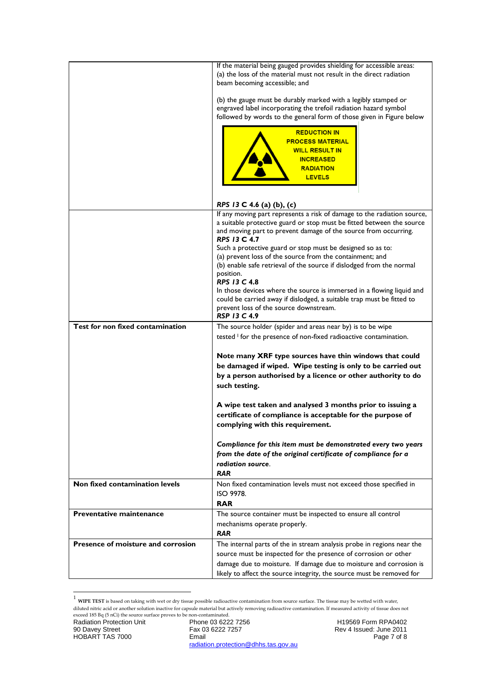|                                    | If the material being gauged provides shielding for accessible areas:<br>(a) the loss of the material must not result in the direct radiation<br>beam becoming accessible; and                                                             |
|------------------------------------|--------------------------------------------------------------------------------------------------------------------------------------------------------------------------------------------------------------------------------------------|
|                                    | (b) the gauge must be durably marked with a legibly stamped or<br>engraved label incorporating the trefoil radiation hazard symbol<br>followed by words to the general form of those given in Figure below                                 |
|                                    | <b>REDUCTION IN</b><br><b>PROCESS MATERIAL</b><br><b>WILL RESULT IN</b><br><b>INCREASED</b><br><b>RADIATION</b><br><b>LEVELS</b>                                                                                                           |
|                                    | RPS 13 C 4.6 (a) (b), (c)                                                                                                                                                                                                                  |
|                                    | If any moving part represents a risk of damage to the radiation source,<br>a suitable protective guard or stop must be fitted between the source<br>and moving part to prevent damage of the source from occurring.<br><b>RPS 13 C 4.7</b> |
|                                    | Such a protective guard or stop must be designed so as to:<br>(a) prevent loss of the source from the containment; and<br>(b) enable safe retrieval of the source if dislodged from the normal<br>position.<br><b>RPS 13 C 4.8</b>         |
|                                    | In those devices where the source is immersed in a flowing liquid and<br>could be carried away if dislodged, a suitable trap must be fitted to<br>prevent loss of the source downstream.<br><b>RSP 13 C 4.9</b>                            |
| Test for non fixed contamination   | The source holder (spider and areas near by) is to be wipe                                                                                                                                                                                 |
|                                    | tested <sup>1</sup> for the presence of non-fixed radioactive contamination.                                                                                                                                                               |
|                                    | Note many XRF type sources have thin windows that could<br>be damaged if wiped. Wipe testing is only to be carried out<br>by a person authorised by a licence or other authority to do<br>such testing.                                    |
|                                    | A wipe test taken and analysed 3 months prior to issuing a<br>certificate of compliance is acceptable for the purpose of<br>complying with this requirement.                                                                               |
|                                    | Compliance for this item must be demonstrated every two years<br>from the date of the original certificate of compliance for a<br>radiation source.<br><b>RAR</b>                                                                          |
| Non fixed contamination levels     | Non fixed contamination levels must not exceed those specified in<br>ISO 9978.<br><b>RAR</b>                                                                                                                                               |
| <b>Preventative maintenance</b>    |                                                                                                                                                                                                                                            |
|                                    | The source container must be inspected to ensure all control<br>mechanisms operate properly.<br><b>RAR</b>                                                                                                                                 |
| Presence of moisture and corrosion | The internal parts of the in stream analysis probe in regions near the                                                                                                                                                                     |
|                                    | source must be inspected for the presence of corrosion or other<br>damage due to moisture. If damage due to moisture and corrosion is<br>likely to affect the source integrity, the source must be removed for                             |

 1 **WIPE TEST** is based on taking with wet or dry tissue possible radioactive contamination from source surface. The tissue may be wetted with water, diluted nitric acid or another solution inactive for capsule material but actively removing radioactive contamination. If measured activity of tissue does not exceed 185 Bq (5 nCi) the source surface proves to be non-contaminated.